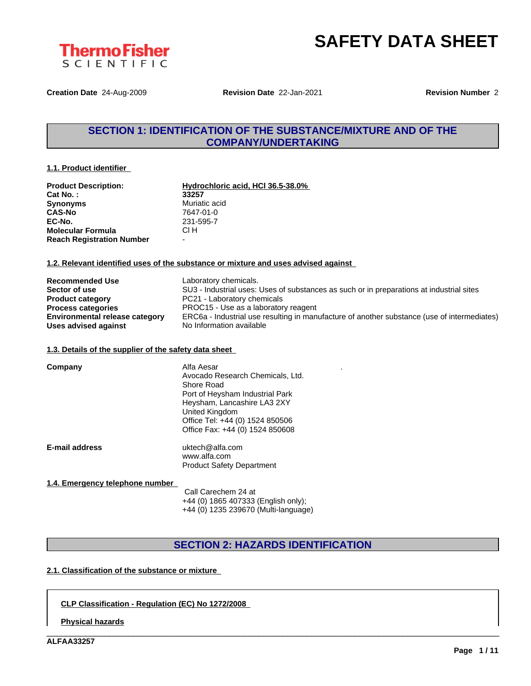



**Creation Date** 24-Aug-2009 **Revision Date** 22-Jan-2021 **Revision Number** 2

# **SECTION 1: IDENTIFICATION OF THE SUBSTANCE/MIXTURE AND OF THE COMPANY/UNDERTAKING**

#### **1.1. Product identifier**

| <b>Product Description:</b>      | Hydrochloric acid, HCI 36.5-38.0% |
|----------------------------------|-----------------------------------|
| Cat No.:                         | 33257                             |
| <b>Synonyms</b>                  | Muriatic acid                     |
| <b>CAS-No</b>                    | 7647-01-0                         |
| EC-No.                           | 231-595-7                         |
| <b>Molecular Formula</b>         | CI H                              |
| <b>Reach Registration Number</b> | -                                 |

#### **1.2. Relevant identified uses of the substance or mixture and uses advised against**

| <b>Recommended Use</b>                | Laboratory chemicals.                                                                       |
|---------------------------------------|---------------------------------------------------------------------------------------------|
| Sector of use                         | SU3 - Industrial uses: Uses of substances as such or in preparations at industrial sites    |
| <b>Product category</b>               | PC21 - Laboratory chemicals                                                                 |
| <b>Process categories</b>             | PROC15 - Use as a laboratory reagent                                                        |
| <b>Environmental release category</b> | ERC6a - Industrial use resulting in manufacture of another substance (use of intermediates) |
| Uses advised against                  | No Information available                                                                    |

#### **1.3. Details of the supplier of the safety data sheet**

| Company               | Alfa Aesar<br>Avocado Research Chemicals, Ltd.<br>Shore Road<br>Port of Heysham Industrial Park<br>Heysham, Lancashire LA3 2XY<br>United Kingdom<br>Office Tel: +44 (0) 1524 850506<br>Office Fax: +44 (0) 1524 850608 |  |
|-----------------------|------------------------------------------------------------------------------------------------------------------------------------------------------------------------------------------------------------------------|--|
| <b>E-mail address</b> | uktech@alfa.com<br>www.alfa.com<br><b>Product Safety Department</b>                                                                                                                                                    |  |

#### **1.4. Emergency telephone number**

Call Carechem 24 at +44 (0) 1865 407333 (English only); +44 (0) 1235 239670 (Multi-language)

## **SECTION 2: HAZARDS IDENTIFICATION**

\_\_\_\_\_\_\_\_\_\_\_\_\_\_\_\_\_\_\_\_\_\_\_\_\_\_\_\_\_\_\_\_\_\_\_\_\_\_\_\_\_\_\_\_\_\_\_\_\_\_\_\_\_\_\_\_\_\_\_\_\_\_\_\_\_\_\_\_\_\_\_\_\_\_\_\_\_\_\_\_\_\_\_\_\_\_\_\_\_\_\_\_\_\_

### **2.1. Classification of the substance or mixture**

### **CLP Classification - Regulation (EC) No 1272/2008**

**Physical hazards**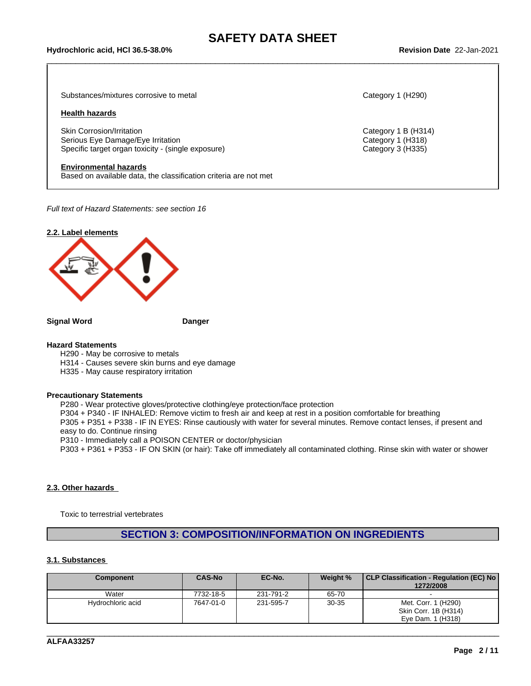# \_\_\_\_\_\_\_\_\_\_\_\_\_\_\_\_\_\_\_\_\_\_\_\_\_\_\_\_\_\_\_\_\_\_\_\_\_\_\_\_\_\_\_\_\_\_\_\_\_\_\_\_\_\_\_\_\_\_\_\_\_\_\_\_\_\_\_\_\_\_\_\_\_\_\_\_\_\_\_\_\_\_\_\_\_\_\_\_\_\_\_\_\_\_ **Hydrochloric acid, HCl 36.5-38.0% Revision Date** 22-Jan-2021

Substances/mixtures corrosive to metal Category 1 (H290)

#### **Health hazards**

Skin Corrosion/Irritation Category 1 B (H314) Serious Eye Damage/Eye Irritation **Category 1 (H318)** Category 1 (H318) Specific target organ toxicity - (single exposure) Category 3 (H335)

#### **Environmental hazards**

Based on available data, the classification criteria are not met

*Full text of Hazard Statements: see section 16*



**Signal Word Danger**

#### **Hazard Statements**

H290 - May be corrosive to metals

H314 - Causes severe skin burns and eye damage

H335 - May cause respiratory irritation

#### **Precautionary Statements**

P280 - Wear protective gloves/protective clothing/eye protection/face protection P304 + P340 - IF INHALED: Remove victim to fresh air and keep at rest in a position comfortable for breathing P305 + P351 + P338 - IF IN EYES: Rinse cautiously with water for several minutes. Remove contact lenses, if present and easy to do. Continue rinsing P310 - Immediately call a POISON CENTER or doctor/physician P303 + P361 + P353 - IF ON SKIN (or hair): Take off immediately all contaminated clothing. Rinse skin with water or shower

#### **2.3. Other hazards**

Toxic to terrestrial vertebrates

## **SECTION 3: COMPOSITION/INFORMATION ON INGREDIENTS**

#### **3.1. Substances**

| <b>Component</b>  | <b>CAS-No</b> | EC-No.    | Weight %  | CLP Classification - Regulation (EC) No  <br>1272/2008           |
|-------------------|---------------|-----------|-----------|------------------------------------------------------------------|
| Water             | 7732-18-5     | 231-791-2 | 65-70     |                                                                  |
| Hydrochloric acid | 7647-01-0     | 231-595-7 | $30 - 35$ | Met. Corr. 1 (H290)<br>Skin Corr. 1B (H314)<br>Eve Dam. 1 (H318) |

\_\_\_\_\_\_\_\_\_\_\_\_\_\_\_\_\_\_\_\_\_\_\_\_\_\_\_\_\_\_\_\_\_\_\_\_\_\_\_\_\_\_\_\_\_\_\_\_\_\_\_\_\_\_\_\_\_\_\_\_\_\_\_\_\_\_\_\_\_\_\_\_\_\_\_\_\_\_\_\_\_\_\_\_\_\_\_\_\_\_\_\_\_\_

**ALFAA33257**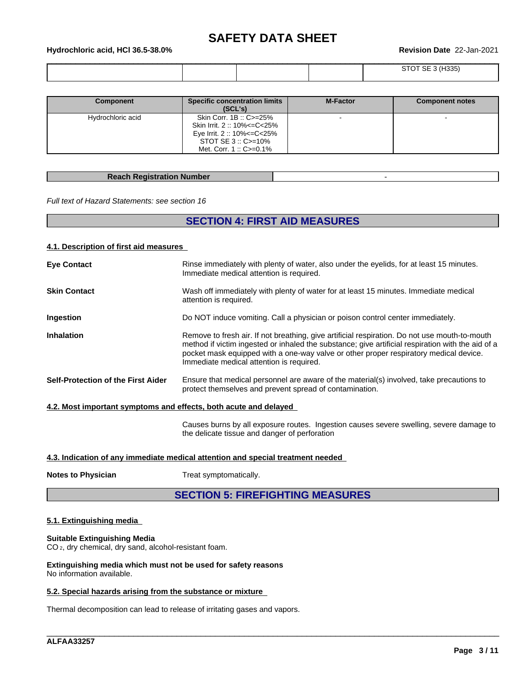# \_\_\_\_\_\_\_\_\_\_\_\_\_\_\_\_\_\_\_\_\_\_\_\_\_\_\_\_\_\_\_\_\_\_\_\_\_\_\_\_\_\_\_\_\_\_\_\_\_\_\_\_\_\_\_\_\_\_\_\_\_\_\_\_\_\_\_\_\_\_\_\_\_\_\_\_\_\_\_\_\_\_\_\_\_\_\_\_\_\_\_\_\_\_ **Hydrochloric acid, HCl 36.5-38.0% Revision Date** 22-Jan-2021

|  |  | $100 - 1$<br>- 25<br>¬കാാം |
|--|--|----------------------------|
|  |  |                            |

| <b>Component</b>  | <b>Specific concentration limits</b><br>(SCL's)                                                                                                | <b>M-Factor</b> | <b>Component notes</b> |
|-------------------|------------------------------------------------------------------------------------------------------------------------------------------------|-----------------|------------------------|
| Hydrochloric acid | Skin Corr. 1B: C>=25%<br>Skin Irrit. 2:: 10% <= C< 25%<br>Eye Irrit. 2:: 10% <= C < 25%<br>STOT SE $3::C = 10\%$<br>Met. Corr. 1:: $C = 0.1\%$ |                 |                        |

#### **Reach Registration Number** -

*Full text of Hazard Statements: see section 16*

# **SECTION 4: FIRST AID MEASURES**

#### **4.1. Description of first aid measures**

| <b>Eye Contact</b>                                               | Rinse immediately with plenty of water, also under the eyelids, for at least 15 minutes.<br>Immediate medical attention is required.                                                                                                                                                                                                    |
|------------------------------------------------------------------|-----------------------------------------------------------------------------------------------------------------------------------------------------------------------------------------------------------------------------------------------------------------------------------------------------------------------------------------|
| <b>Skin Contact</b>                                              | Wash off immediately with plenty of water for at least 15 minutes. Immediate medical<br>attention is required.                                                                                                                                                                                                                          |
| Ingestion                                                        | Do NOT induce vomiting. Call a physician or poison control center immediately.                                                                                                                                                                                                                                                          |
| <b>Inhalation</b>                                                | Remove to fresh air. If not breathing, give artificial respiration. Do not use mouth-to-mouth<br>method if victim ingested or inhaled the substance; give artificial respiration with the aid of a<br>pocket mask equipped with a one-way valve or other proper respiratory medical device.<br>Immediate medical attention is required. |
| Self-Protection of the First Aider                               | Ensure that medical personnel are aware of the material(s) involved, take precautions to<br>protect themselves and prevent spread of contamination.                                                                                                                                                                                     |
| 4.2. Most important symptoms and effects, both acute and delayed |                                                                                                                                                                                                                                                                                                                                         |
|                                                                  | Causes burns by all exposure routes. Ingestion causes severe swelling, severe damage to<br>the delicate tissue and danger of perforation                                                                                                                                                                                                |
|                                                                  |                                                                                                                                                                                                                                                                                                                                         |

### **4.3. Indication of any immediate medical attention and special treatment needed**

**Notes to Physician** Treat symptomatically.

# **SECTION 5: FIREFIGHTING MEASURES**

\_\_\_\_\_\_\_\_\_\_\_\_\_\_\_\_\_\_\_\_\_\_\_\_\_\_\_\_\_\_\_\_\_\_\_\_\_\_\_\_\_\_\_\_\_\_\_\_\_\_\_\_\_\_\_\_\_\_\_\_\_\_\_\_\_\_\_\_\_\_\_\_\_\_\_\_\_\_\_\_\_\_\_\_\_\_\_\_\_\_\_\_\_\_

### **5.1. Extinguishing media**

## **Suitable Extinguishing Media**

CO 2, dry chemical, dry sand, alcohol-resistant foam.

**Extinguishing media which must not be used for safety reasons** No information available.

#### **5.2. Special hazards arising from the substance or mixture**

Thermal decomposition can lead to release of irritating gases and vapors.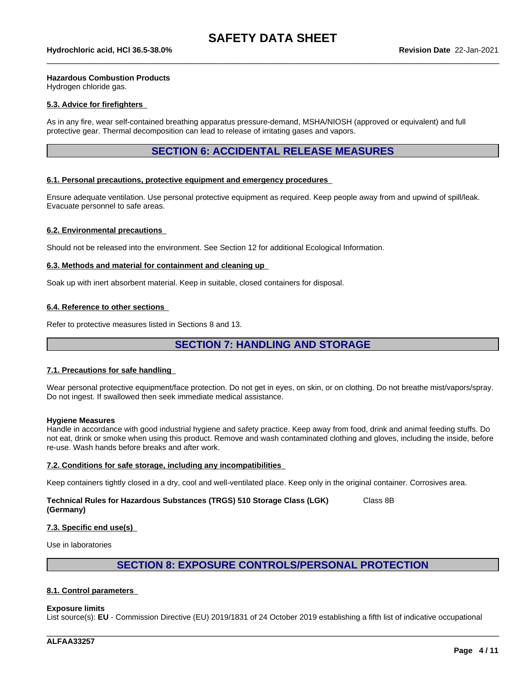#### **Hazardous Combustion Products**

Hydrogen chloride gas.

#### **5.3. Advice for firefighters**

As in any fire, wear self-contained breathing apparatus pressure-demand, MSHA/NIOSH (approved or equivalent) and full protective gear. Thermal decomposition can lead to release of irritating gases and vapors.

## **SECTION 6: ACCIDENTAL RELEASE MEASURES**

#### **6.1. Personal precautions, protective equipment and emergency procedures**

Ensure adequate ventilation. Use personal protective equipment as required. Keep people away from and upwind of spill/leak. Evacuate personnel to safe areas.

#### **6.2. Environmental precautions**

Should not be released into the environment. See Section 12 for additional Ecological Information.

#### **6.3. Methods and material for containment and cleaning up**

Soak up with inert absorbent material. Keep in suitable, closed containers for disposal.

#### **6.4. Reference to other sections**

Refer to protective measures listed in Sections 8 and 13.

## **SECTION 7: HANDLING AND STORAGE**

#### **7.1. Precautions for safe handling**

Wear personal protective equipment/face protection. Do not get in eyes, on skin, or on clothing. Do not breathe mist/vapors/spray. Do not ingest. If swallowed then seek immediate medical assistance.

#### **Hygiene Measures**

Handle in accordance with good industrial hygiene and safety practice. Keep away from food, drink and animal feeding stuffs. Do not eat, drink or smoke when using this product. Remove and wash contaminated clothing and gloves, including the inside, before re-use. Wash hands before breaks and after work.

#### **7.2. Conditions for safe storage, including any incompatibilities**

Keep containers tightly closed in a dry, cool and well-ventilated place. Keep only in the original container. Corrosives area.

#### **Technical Rules for Hazardous Substances (TRGS) 510 Storage Class (LGK) (Germany)** Class 8B

#### **7.3. Specific end use(s)**

Use in laboratories

## **SECTION 8: EXPOSURE CONTROLS/PERSONAL PROTECTION**

#### **8.1. Control parameters**

#### **Exposure limits**

List source(s): **EU** - Commission Directive (EU) 2019/1831 of 24 October 2019 establishing a fifth list ofindicative occupational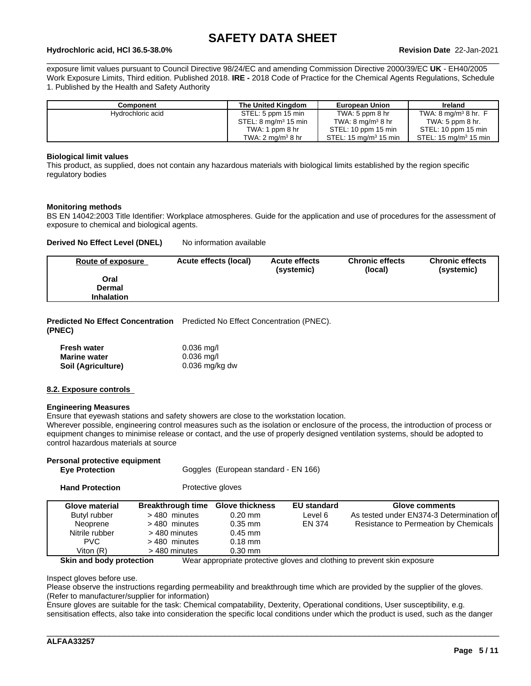# \_\_\_\_\_\_\_\_\_\_\_\_\_\_\_\_\_\_\_\_\_\_\_\_\_\_\_\_\_\_\_\_\_\_\_\_\_\_\_\_\_\_\_\_\_\_\_\_\_\_\_\_\_\_\_\_\_\_\_\_\_\_\_\_\_\_\_\_\_\_\_\_\_\_\_\_\_\_\_\_\_\_\_\_\_\_\_\_\_\_\_\_\_\_ **Hydrochloric acid, HCl 36.5-38.0% Revision Date** 22-Jan-2021

exposure limit values pursuant to Council Directive 98/24/EC and amending Commission Directive 2000/39/EC UK - EH40/2005 Work Exposure Limits, Third edition. Published 2018. **IRE -** 2018 Code of Practice for the Chemical Agents Regulations, Schedule 1. Published by the Health and Safety Authority

| Component         | The United Kingdom               | <b>European Union</b>                | Ireland                                    |
|-------------------|----------------------------------|--------------------------------------|--------------------------------------------|
| Hydrochloric acid | STEL: 5 ppm 15 min               | TWA: $5$ ppm $8$ hr                  | TWA: $8 \text{ mg/m}^3$ $8 \text{ hr}$ . F |
|                   | STEL: 8 mg/m <sup>3</sup> 15 min | TWA: $8 \text{ mg/m}^3 8 \text{ hr}$ | TWA: $5$ ppm $8$ hr.                       |
|                   | TWA: 1 ppm 8 hr                  | STEL: 10 ppm 15 min                  | STEL: 10 ppm 15 min                        |
|                   | TWA: 2 mg/m $3$ 8 hr             | STEL: 15 ma/m <sup>3</sup> 15 min    | STEL: $15 \text{ ma/m}^3$ 15 min           |

#### **Biological limit values**

This product, as supplied, does not contain any hazardous materials with biological limits established by the region specific regulatory bodies

#### **Monitoring methods**

BS EN 14042:2003 Title Identifier: Workplace atmospheres. Guide for the application and use of procedures for the assessment of exposure to chemical and biological agents.

#### **Derived No Effect Level (DNEL)** No information available

| Route of exposure | Acute effects (local) | <b>Acute effects</b><br>(systemic) | <b>Chronic effects</b><br>(local) | <b>Chronic effects</b><br>(systemic) |
|-------------------|-----------------------|------------------------------------|-----------------------------------|--------------------------------------|
| Oral              |                       |                                    |                                   |                                      |
| Dermal            |                       |                                    |                                   |                                      |
| <b>Inhalation</b> |                       |                                    |                                   |                                      |

**Predicted No Effect Concentration** Predicted No Effect Concentration (PNEC). **(PNEC)**

| Fresh water         | $0.036$ mg/l     |
|---------------------|------------------|
| <b>Marine water</b> | $0.036$ mg/l     |
| Soil (Agriculture)  | $0.036$ mg/kg dw |

#### **8.2. Exposure controls**

#### **Engineering Measures**

Ensure that eyewash stations and safety showers are close to the workstation location.

Wherever possible, engineering control measures such as the isolation or enclosure of the process, the introduction of process or equipment changes to minimise release or contact, and the use of properly designed ventilation systems, should be adopted to control hazardous materials at source

| Personal protective equipment<br><b>Eye Protection</b> |                          | Goggles (European standard - EN 166) |                    |                                                                          |
|--------------------------------------------------------|--------------------------|--------------------------------------|--------------------|--------------------------------------------------------------------------|
| <b>Hand Protection</b>                                 |                          | Protective gloves                    |                    |                                                                          |
| Glove material                                         | <b>Breakthrough time</b> | <b>Glove thickness</b>               | <b>EU standard</b> | Glove comments                                                           |
| Butyl rubber                                           | > 480 minutes            | $0.20$ mm                            | Level 6            | As tested under EN374-3 Determination of                                 |
| Neoprene                                               | >480 minutes             | $0.35$ mm                            | EN 374             | Resistance to Permeation by Chemicals                                    |
| Nitrile rubber                                         | > 480 minutes            | $0.45$ mm                            |                    |                                                                          |
| PVC.                                                   | >480 minutes             | $0.18$ mm                            |                    |                                                                          |
| Viton $(R)$                                            | > 480 minutes            | $0.30$ mm                            |                    |                                                                          |
| Skin and body protection                               |                          |                                      |                    | Wear appropriate protective gloves and clothing to prevent skin exposure |

Inspect gloves before use.

Please observe the instructions regarding permeability and breakthrough time which are provided by the supplier of the gloves. (Refer to manufacturer/supplier for information)

Ensure gloves are suitable for the task: Chemical compatability, Dexterity, Operational conditions, User susceptibility, e.g. sensitisation effects, also take into consideration the specific local conditions under which the product is used, such as the danger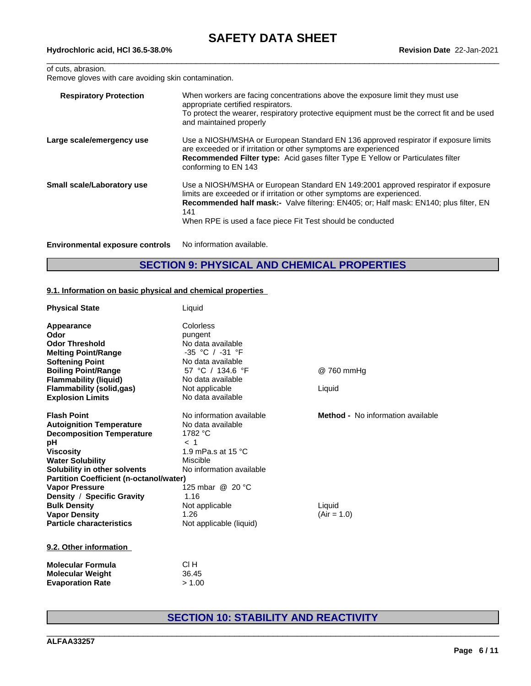## of cuts, abrasion.

Remove gloves with care avoiding skin contamination.

| <b>Respiratory Protection</b>          | When workers are facing concentrations above the exposure limit they must use<br>appropriate certified respirators.<br>To protect the wearer, respiratory protective equipment must be the correct fit and be used<br>and maintained properly                                                                                     |
|----------------------------------------|-----------------------------------------------------------------------------------------------------------------------------------------------------------------------------------------------------------------------------------------------------------------------------------------------------------------------------------|
| Large scale/emergency use              | Use a NIOSH/MSHA or European Standard EN 136 approved respirator if exposure limits<br>are exceeded or if irritation or other symptoms are experienced<br>Recommended Filter type: Acid gases filter Type E Yellow or Particulates filter<br>conforming to EN 143                                                                 |
| Small scale/Laboratory use             | Use a NIOSH/MSHA or European Standard EN 149:2001 approved respirator if exposure<br>limits are exceeded or if irritation or other symptoms are experienced.<br><b>Recommended half mask:-</b> Valve filtering: EN405; or; Half mask: EN140; plus filter, EN<br>141<br>When RPE is used a face piece Fit Test should be conducted |
| <b>Environmental exposure controls</b> | No information available.                                                                                                                                                                                                                                                                                                         |

# **SECTION 9: PHYSICAL AND CHEMICAL PROPERTIES**

#### **9.1. Information on basic physical and chemical properties**

| <b>Physical State</b>                          | Liquid                   |                                          |
|------------------------------------------------|--------------------------|------------------------------------------|
| Appearance                                     | Colorless                |                                          |
| Odor                                           | pungent                  |                                          |
| <b>Odor Threshold</b>                          | No data available        |                                          |
| <b>Melting Point/Range</b>                     | $-35$ °C / $-31$ °F      |                                          |
| <b>Softening Point</b>                         | No data available        |                                          |
| <b>Boiling Point/Range</b>                     | 57 °C / 134.6 °F         | @ 760 mmHg                               |
| <b>Flammability (liquid)</b>                   | No data available        |                                          |
| <b>Flammability (solid,gas)</b>                | Not applicable           | Liquid                                   |
| <b>Explosion Limits</b>                        | No data available        |                                          |
| <b>Flash Point</b>                             | No information available | <b>Method -</b> No information available |
| <b>Autoignition Temperature</b>                | No data available        |                                          |
| <b>Decomposition Temperature</b>               | 1782 °C                  |                                          |
| рH                                             | $<$ 1                    |                                          |
| <b>Viscosity</b>                               | 1.9 mPa.s at 15 °C       |                                          |
| <b>Water Solubility</b>                        | Miscible                 |                                          |
| Solubility in other solvents                   | No information available |                                          |
| <b>Partition Coefficient (n-octanol/water)</b> |                          |                                          |
| <b>Vapor Pressure</b>                          | 125 mbar @ 20 °C         |                                          |
| Density / Specific Gravity                     | 1.16                     |                                          |
| <b>Bulk Density</b>                            | Not applicable           | Liquid                                   |
| <b>Vapor Density</b>                           | 1.26                     | $(Air = 1.0)$                            |
| <b>Particle characteristics</b>                | Not applicable (liquid)  |                                          |
| 9.2. Other information                         |                          |                                          |
| <b>Molecular Formula</b>                       | CI H                     |                                          |

# **Molecular Weight** 36.45 **Evaporation Rate** > 1.00

# **SECTION 10: STABILITY AND REACTIVITY**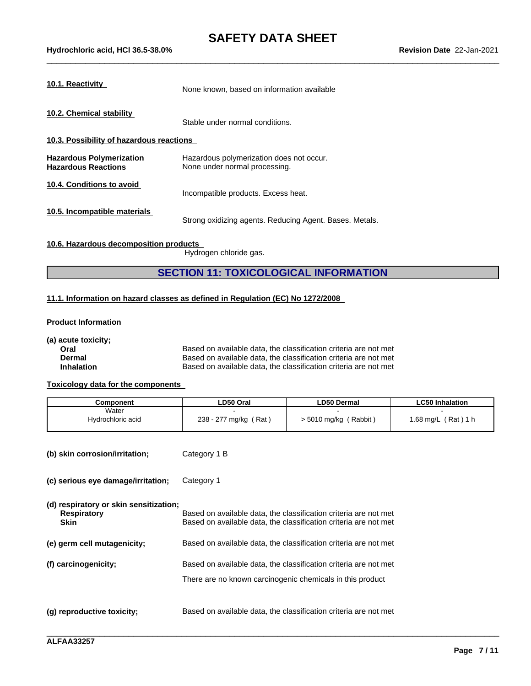| 10.1. Reactivity                                              | None known, based on information available                                |
|---------------------------------------------------------------|---------------------------------------------------------------------------|
| 10.2. Chemical stability                                      | Stable under normal conditions.                                           |
| 10.3. Possibility of hazardous reactions                      |                                                                           |
| <b>Hazardous Polymerization</b><br><b>Hazardous Reactions</b> | Hazardous polymerization does not occur.<br>None under normal processing. |
| 10.4. Conditions to avoid                                     | Incompatible products. Excess heat.                                       |
| 10.5. Incompatible materials                                  | Strong oxidizing agents. Reducing Agent. Bases. Metals.                   |

## **10.6. Hazardous decomposition products**

Hydrogen chloride gas.

## **SECTION 11: TOXICOLOGICAL INFORMATION**

#### **11.1. Information on hazard classes as defined in Regulation (EC) No 1272/2008**

#### **Product Information**

**(a) acute toxicity;**

| Oral              | Based on avai |
|-------------------|---------------|
| Dermal            | Based on avai |
| <b>Inhalation</b> | Based on avai |

lable data, the classification criteria are not met lable data, the classification criteria are not met lable data, the classification criteria are not met

\_\_\_\_\_\_\_\_\_\_\_\_\_\_\_\_\_\_\_\_\_\_\_\_\_\_\_\_\_\_\_\_\_\_\_\_\_\_\_\_\_\_\_\_\_\_\_\_\_\_\_\_\_\_\_\_\_\_\_\_\_\_\_\_\_\_\_\_\_\_\_\_\_\_\_\_\_\_\_\_\_\_\_\_\_\_\_\_\_\_\_\_\_\_

#### **Toxicology data for the components**

| Component         | LD50 Oral                             | ∟D50 Dermal         | <b>LC50 Inhalation</b>             |
|-------------------|---------------------------------------|---------------------|------------------------------------|
| Water             |                                       |                     |                                    |
| Hydrochloric acid | Rat<br>238 - 277<br>' mg/kg<br>$-277$ | 5010 mg/kg (Rabbit) | Rat)<br>$.68 \text{ mg/L}$<br>1 L. |

| (b) skin corrosion/irritation; | Category 1 B |  |
|--------------------------------|--------------|--|
|--------------------------------|--------------|--|

**(c) serious eye damage/irritation;** Category 1

**(d) respiratory or skin sensitization;**

| <b>Respiratory</b><br><b>Skin</b> | Based on available data, the classification criteria are not met<br>Based on available data, the classification criteria are not met |
|-----------------------------------|--------------------------------------------------------------------------------------------------------------------------------------|
| (e) germ cell mutagenicity;       | Based on available data, the classification criteria are not met                                                                     |
| (f) carcinogenicity;              | Based on available data, the classification criteria are not met<br>There are no known carcinogenic chemicals in this product        |
| (q) reproductive toxicity;        | Based on available data, the classification criteria are not met                                                                     |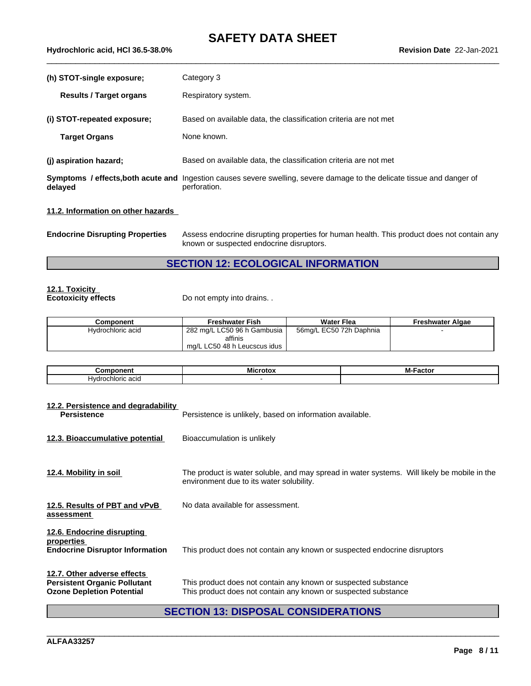# **SAFETY DATA SHEET**<br>Revision Date 22-Jan-2021

| 5-38.0%<br>Hvdrochloric<br>36.5<br><b>HCI</b><br>↑ acid. . | <u>2</u> 2-Jan-2021<br>$\sim$<br><b>Revision</b><br>Date |
|------------------------------------------------------------|----------------------------------------------------------|
|                                                            |                                                          |

| (h) STOT-single exposure;      | Category 3                                                                                                                                     |
|--------------------------------|------------------------------------------------------------------------------------------------------------------------------------------------|
| <b>Results / Target organs</b> | Respiratory system.                                                                                                                            |
| (i) STOT-repeated exposure;    | Based on available data, the classification criteria are not met                                                                               |
| <b>Target Organs</b>           | None known.                                                                                                                                    |
| (j) aspiration hazard;         | Based on available data, the classification criteria are not met                                                                               |
| delayed                        | <b>Symptoms / effects, both acute and</b> Ingestion causes severe swelling, severe damage to the delicate tissue and danger of<br>perforation. |

### **11.2. Information on other hazards**

**Endocrine Disrupting Properties** Assess endocrine disrupting properties for human health. This product does not contain any known or suspected endocrine disruptors.

# **SECTION 12: ECOLOGICAL INFORMATION**

# **12.1. Toxicity**

Do not empty into drains. .

| Component         | <b>Freshwater Fish</b>       | <b>Water Flea</b>       | Freshwater Algae |
|-------------------|------------------------------|-------------------------|------------------|
| Hvdrochloric acid | 282 mg/L LC50 96 h Gambusia  | 56mg/L EC50 72h Daphnia |                  |
|                   | affinis                      |                         |                  |
|                   | ma/L LC50 48 h Leucscus idus |                         |                  |

| .<br>Λm             | ---<br>- MIC | M·<br>.<br>асто |
|---------------------|--------------|-----------------|
| Hv<br>acıc<br>uoric |              |                 |

| 12.2. Persistence and degradability<br><b>Persistence</b>                                              | Persistence is unlikely, based on information available.                                                                                |
|--------------------------------------------------------------------------------------------------------|-----------------------------------------------------------------------------------------------------------------------------------------|
| 12.3. Bioaccumulative potential                                                                        | Bioaccumulation is unlikely                                                                                                             |
| 12.4. Mobility in soil                                                                                 | The product is water soluble, and may spread in water systems. Will likely be mobile in the<br>environment due to its water solubility. |
| 12.5. Results of PBT and vPvB<br>assessment                                                            | No data available for assessment.                                                                                                       |
| 12.6. Endocrine disrupting<br>properties<br><b>Endocrine Disruptor Information</b>                     | This product does not contain any known or suspected endocrine disruptors                                                               |
| 12.7. Other adverse effects<br><b>Persistent Organic Pollutant</b><br><b>Ozone Depletion Potential</b> | This product does not contain any known or suspected substance<br>This product does not contain any known or suspected substance        |
|                                                                                                        | <b>SECTION 13: DISPOSAL CONSIDERATIONS</b>                                                                                              |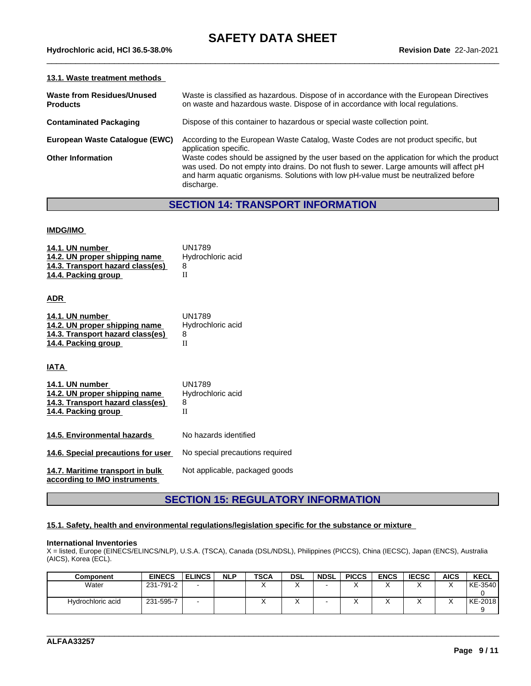#### **13.1. Waste treatment methods**

| <b>Waste from Residues/Unused</b><br><b>Products</b> | Waste is classified as hazardous. Dispose of in accordance with the European Directives<br>on waste and hazardous waste. Dispose of in accordance with local regulations.                                                                                                                |
|------------------------------------------------------|------------------------------------------------------------------------------------------------------------------------------------------------------------------------------------------------------------------------------------------------------------------------------------------|
| <b>Contaminated Packaging</b>                        | Dispose of this container to hazardous or special waste collection point.                                                                                                                                                                                                                |
| European Waste Catalogue (EWC)                       | According to the European Waste Catalog, Waste Codes are not product specific, but<br>application specific.                                                                                                                                                                              |
| <b>Other Information</b>                             | Waste codes should be assigned by the user based on the application for which the product<br>was used. Do not empty into drains. Do not flush to sewer. Large amounts will affect pH<br>and harm aquatic organisms. Solutions with low pH-value must be neutralized before<br>discharge. |

# **SECTION 14: TRANSPORT INFORMATION**

#### **IMDG/IMO**

| 14.1. UN number<br>14.2. UN proper shipping name<br>14.3. Transport hazard class(es)<br>14.4. Packing group | <b>UN1789</b><br>Hydrochloric acid<br>8<br>$\Pi$ |
|-------------------------------------------------------------------------------------------------------------|--------------------------------------------------|
| <b>ADR</b>                                                                                                  |                                                  |
| 14.1. UN number<br>14.2. UN proper shipping name<br>14.3. Transport hazard class(es)<br>14.4. Packing group | <b>UN1789</b><br>Hydrochloric acid<br>8<br>H     |
| IATA                                                                                                        |                                                  |
| 14.1. UN number<br>14.2. UN proper shipping name<br>14.3. Transport hazard class(es)<br>14.4. Packing group | <b>UN1789</b><br>Hydrochloric acid<br>8<br>H     |
| 14.5. Environmental hazards                                                                                 | No hazards identified                            |
| 14.6. Special precautions for user                                                                          | No special precautions required                  |
| 14.7. Maritime transport in bulk<br>according to IMO instruments                                            | Not applicable, packaged goods                   |

# **SECTION 15: REGULATORY INFORMATION**

#### **15.1. Safety, health and environmental regulations/legislation specific for the substance or mixture**

#### **International Inventories**

X = listed, Europe (EINECS/ELINCS/NLP), U.S.A. (TSCA), Canada (DSL/NDSL), Philippines (PICCS), China (IECSC), Japan (ENCS), Australia (AICS), Korea (ECL).

| <b>Component</b>  | <b>EINECS</b> | <b>ELINCS</b> | <b>NLP</b> | <b>TSCA</b> | <b>DSL</b> | <b>NDSL</b> | <b>PICCS</b> | <b>ENCS</b> | <b>IECSC</b> | <b>AICS</b>          | <b>KECL</b> |
|-------------------|---------------|---------------|------------|-------------|------------|-------------|--------------|-------------|--------------|----------------------|-------------|
| Water             | 231-791-2     |               |            | v           |            |             |              | $\lambda$   |              | $\cdot$<br>$\lambda$ | KE-3540     |
|                   |               |               |            |             |            |             |              |             |              |                      |             |
| Hydrochloric acid | 231-595-7     |               |            | $\lambda$   | $\lambda$  |             |              | $\lambda$   |              | $\lambda$            | KE-2018     |
|                   |               |               |            |             |            |             |              |             |              |                      |             |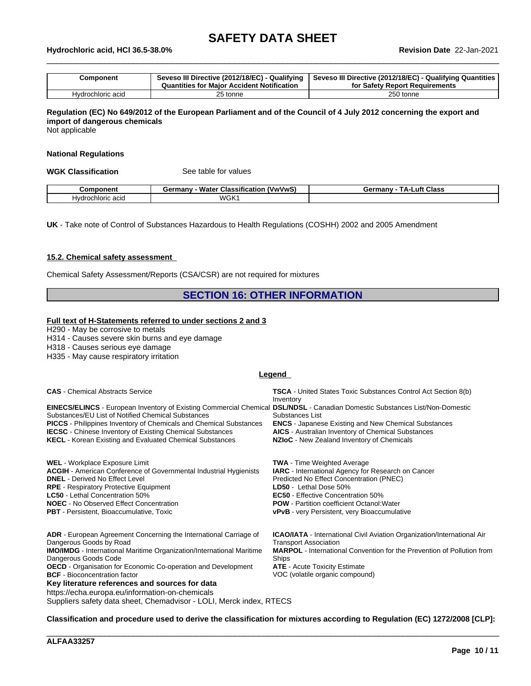# \_\_\_\_\_\_\_\_\_\_\_\_\_\_\_\_\_\_\_\_\_\_\_\_\_\_\_\_\_\_\_\_\_\_\_\_\_\_\_\_\_\_\_\_\_\_\_\_\_\_\_\_\_\_\_\_\_\_\_\_\_\_\_\_\_\_\_\_\_\_\_\_\_\_\_\_\_\_\_\_\_\_\_\_\_\_\_\_\_\_\_\_\_\_ **Hydrochloric acid, HCl 36.5-38.0% Revision Date** 22-Jan-2021

| Component         | Seveso III Directive (2012/18/EC) - Qualifying<br><b>Quantities for Maior Accident Notification</b> | Seveso III Directive (2012/18/EC) - Qualifying Quantities  <br>for Safety Report Requirements |
|-------------------|-----------------------------------------------------------------------------------------------------|-----------------------------------------------------------------------------------------------|
| Hydrochloric acid | 25 tonne                                                                                            | 250 tonne                                                                                     |

## Regulation (EC) No 649/2012 of the European Parliament and of the Council of 4 July 2012 concerning the export and **import of dangerous chemicals**

Not applicable

#### **National Regulations**

**WGK Classification** See table for values

| `omnonent                                | <br>Water<br>'VwVw'<br>Germany<br>Classification<br>vv v | _uft<br><b>Class</b><br>Germany<br>гΔ. |
|------------------------------------------|----------------------------------------------------------|----------------------------------------|
| 000<br>urochlorie -<br>Hvdr<br>. iu aulu | <b>WGK1</b>                                              |                                        |

**UK** - Take note of Control of Substances Hazardous to Health Regulations (COSHH) 2002 and 2005 Amendment

#### **15.2. Chemical safety assessment**

Chemical Safety Assessment/Reports (CSA/CSR) are not required for mixtures

## **SECTION 16: OTHER INFORMATION**

#### **Full text of H-Statements referred to undersections 2 and 3**

H290 - May be corrosive to metals

H314 - Causes severe skin burns and eye damage

H318 - Causes serious eye damage

H335 - May cause respiratory irritation

#### **Legend**

| <b>CAS</b> - Chemical Abstracts Service                                                                                                                                                                                                                                                                                                                                                                                                                                                          | <b>TSCA</b> - United States Toxic Substances Control Act Section 8(b)                                                                                                                                                                                                               |
|--------------------------------------------------------------------------------------------------------------------------------------------------------------------------------------------------------------------------------------------------------------------------------------------------------------------------------------------------------------------------------------------------------------------------------------------------------------------------------------------------|-------------------------------------------------------------------------------------------------------------------------------------------------------------------------------------------------------------------------------------------------------------------------------------|
| <b>EINECS/ELINCS</b> - European Inventory of Existing Commercial Chemical DSL/NDSL - Canadian Domestic Substances List/Non-Domestic                                                                                                                                                                                                                                                                                                                                                              | Inventory                                                                                                                                                                                                                                                                           |
| Substances/EU List of Notified Chemical Substances                                                                                                                                                                                                                                                                                                                                                                                                                                               | Substances List                                                                                                                                                                                                                                                                     |
| <b>PICCS</b> - Philippines Inventory of Chemicals and Chemical Substances                                                                                                                                                                                                                                                                                                                                                                                                                        | <b>ENCS</b> - Japanese Existing and New Chemical Substances                                                                                                                                                                                                                         |
| <b>IECSC</b> - Chinese Inventory of Existing Chemical Substances                                                                                                                                                                                                                                                                                                                                                                                                                                 | <b>AICS</b> - Australian Inventory of Chemical Substances                                                                                                                                                                                                                           |
| <b>KECL</b> - Korean Existing and Evaluated Chemical Substances                                                                                                                                                                                                                                                                                                                                                                                                                                  | NZIoC - New Zealand Inventory of Chemicals                                                                                                                                                                                                                                          |
| <b>WEL</b> - Workplace Exposure Limit                                                                                                                                                                                                                                                                                                                                                                                                                                                            | <b>TWA</b> - Time Weighted Average                                                                                                                                                                                                                                                  |
| <b>ACGIH</b> - American Conference of Governmental Industrial Hygienists                                                                                                                                                                                                                                                                                                                                                                                                                         | <b>IARC</b> - International Agency for Research on Cancer                                                                                                                                                                                                                           |
| <b>DNEL</b> - Derived No Effect Level                                                                                                                                                                                                                                                                                                                                                                                                                                                            | Predicted No Effect Concentration (PNEC)                                                                                                                                                                                                                                            |
| <b>RPE</b> - Respiratory Protective Equipment                                                                                                                                                                                                                                                                                                                                                                                                                                                    | LD50 - Lethal Dose 50%                                                                                                                                                                                                                                                              |
| <b>LC50</b> - Lethal Concentration 50%                                                                                                                                                                                                                                                                                                                                                                                                                                                           | <b>EC50</b> - Effective Concentration 50%                                                                                                                                                                                                                                           |
| <b>NOEC</b> - No Observed Effect Concentration                                                                                                                                                                                                                                                                                                                                                                                                                                                   | <b>POW</b> - Partition coefficient Octanol: Water                                                                                                                                                                                                                                   |
| PBT - Persistent, Bioaccumulative, Toxic                                                                                                                                                                                                                                                                                                                                                                                                                                                         | vPvB - very Persistent, very Bioaccumulative                                                                                                                                                                                                                                        |
| ADR - European Agreement Concerning the International Carriage of<br>Dangerous Goods by Road<br><b>IMO/IMDG</b> - International Maritime Organization/International Maritime<br>Dangerous Goods Code<br><b>OECD</b> - Organisation for Economic Co-operation and Development<br><b>BCF</b> - Bioconcentration factor<br>Key literature references and sources for data<br>https://echa.europa.eu/information-on-chemicals<br>Suppliers safety data sheet, Chemadvisor - LOLI, Merck index, RTECS | <b>ICAO/IATA</b> - International Civil Aviation Organization/International Air<br><b>Transport Association</b><br><b>MARPOL</b> - International Convention for the Prevention of Pollution from<br>Ships<br><b>ATE</b> - Acute Toxicity Estimate<br>VOC (volatile organic compound) |

Classification and procedure used to derive the classification for mixtures according to Regulation (EC) 1272/2008 [CLP]: